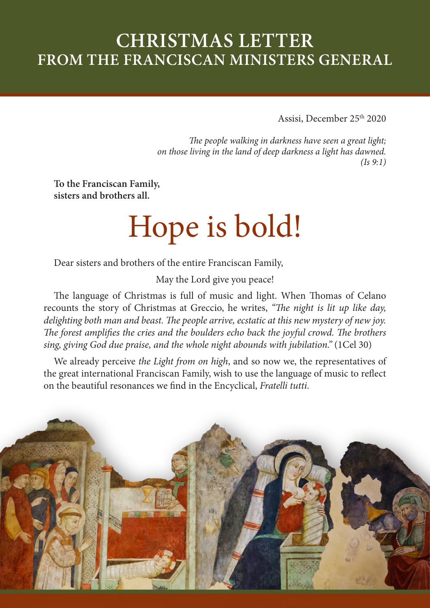# **CHRISTMAS LETTER FROM THE FRANCISCAN MINISTERS GENERAL**

Assisi, December 25th 2020

*The people walking in darkness have seen a great light; on those living in the land of deep darkness a light has dawned. (Is 9:1)*

**To the Franciscan Family, sisters and brothers all.**

# Hope is bold!

Dear sisters and brothers of the entire Franciscan Family,

May the Lord give you peace!

The language of Christmas is full of music and light. When Thomas of Celano recounts the story of Christmas at Greccio, he writes, *"The night is lit up like day, delighting both man and beast. The people arrive, ecstatic at this new mystery of new joy. The forest amplifies the cries and the boulders echo back the joyful crowd. The brothers sing, giving God due praise, and the whole night abounds with jubilation."* (1Cel 30)

We already perceive *the Light from on high*, and so now we, the representatives of the great international Franciscan Family, wish to use the language of music to reflect on the beautiful resonances we find in the Encyclical, *Fratelli tutti*.

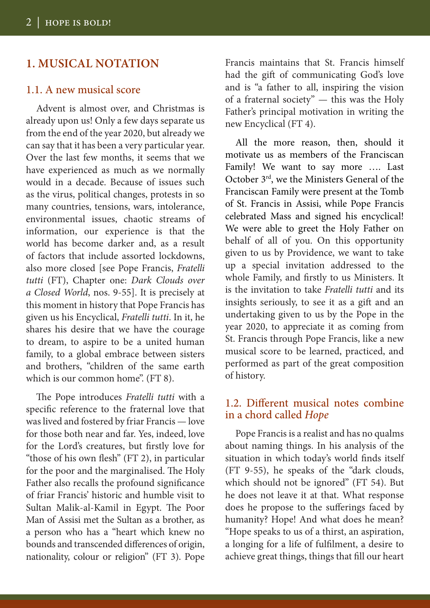## **1. MUSICAL NOTATION**

#### 1.1. A new musical score

Advent is almost over, and Christmas is already upon us! Only a few days separate us from the end of the year 2020, but already we can say that it has been a very particular year. Over the last few months, it seems that we have experienced as much as we normally would in a decade. Because of issues such as the virus, political changes, protests in so many countries, tensions, wars, intolerance, environmental issues, chaotic streams of information, our experience is that the world has become darker and, as a result of factors that include assorted lockdowns, also more closed [see Pope Francis, *Fratelli tutti* (FT), Chapter one: *Dark Clouds over a Closed World*, nos. 9-55]. It is precisely at this moment in history that Pope Francis has given us his Encyclical, *Fratelli tutti*. In it, he shares his desire that we have the courage to dream, to aspire to be a united human family, to a global embrace between sisters and brothers, "children of the same earth which is our common home". (FT 8).

The Pope introduces *Fratelli tutti* with a specific reference to the fraternal love that was lived and fostered by friar Francis — love for those both near and far. Yes, indeed, love for the Lord's creatures, but firstly love for "those of his own flesh" (FT 2), in particular for the poor and the marginalised. The Holy Father also recalls the profound significance of friar Francis' historic and humble visit to Sultan Malik-al-Kamil in Egypt. The Poor Man of Assisi met the Sultan as a brother, as a person who has a "heart which knew no bounds and transcended differences of origin, nationality, colour or religion" (FT 3). Pope

Francis maintains that St. Francis himself had the gift of communicating God's love and is "a father to all, inspiring the vision of a fraternal society" — this was the Holy Father's principal motivation in writing the new Encyclical (FT 4).

All the more reason, then, should it motivate us as members of the Franciscan Family! We want to say more …. Last October 3rd, we the Ministers General of the Franciscan Family were present at the Tomb of St. Francis in Assisi, while Pope Francis celebrated Mass and signed his encyclical! We were able to greet the Holy Father on behalf of all of you. On this opportunity given to us by Providence, we want to take up a special invitation addressed to the whole Family, and firstly to us Ministers. It is the invitation to take *Fratelli tutti* and its insights seriously, to see it as a gift and an undertaking given to us by the Pope in the year 2020, to appreciate it as coming from St. Francis through Pope Francis, like a new musical score to be learned, practiced, and performed as part of the great composition of history.

#### 1.2. Different musical notes combine in a chord called *Hope*

Pope Francis is a realist and has no qualms about naming things. In his analysis of the situation in which today's world finds itself (FT 9-55), he speaks of the "dark clouds, which should not be ignored" (FT 54). But he does not leave it at that. What response does he propose to the sufferings faced by humanity? Hope! And what does he mean? "Hope speaks to us of a thirst, an aspiration, a longing for a life of fulfilment, a desire to achieve great things, things that fill our heart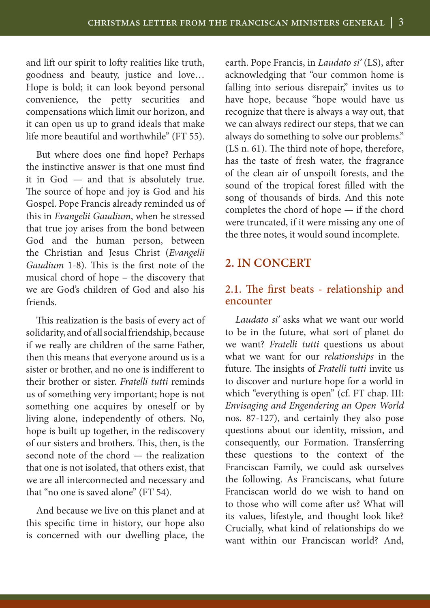and lift our spirit to lofty realities like truth, goodness and beauty, justice and love… Hope is bold; it can look beyond personal convenience, the petty securities and compensations which limit our horizon, and it can open us up to grand ideals that make life more beautiful and worthwhile" (FT 55).

But where does one find hope? Perhaps the instinctive answer is that one must find it in God — and that is absolutely true. The source of hope and joy is God and his Gospel. Pope Francis already reminded us of this in *Evangelii Gaudium*, when he stressed that true joy arises from the bond between God and the human person, between the Christian and Jesus Christ (*Evangelii Gaudium* 1-8). This is the first note of the musical chord of hope – the discovery that we are God's children of God and also his friends.

This realization is the basis of every act of solidarity, and of all social friendship, because if we really are children of the same Father, then this means that everyone around us is a sister or brother, and no one is indifferent to their brother or sister. *Fratelli tutti* reminds us of something very important; hope is not something one acquires by oneself or by living alone, independently of others. No, hope is built up together, in the rediscovery of our sisters and brothers. This, then, is the second note of the chord — the realization that one is not isolated, that others exist, that we are all interconnected and necessary and that "no one is saved alone" (FT 54).

And because we live on this planet and at this specific time in history, our hope also is concerned with our dwelling place, the earth. Pope Francis, in *Laudato si'* (LS), after acknowledging that "our common home is falling into serious disrepair," invites us to have hope, because "hope would have us recognize that there is always a way out, that we can always redirect our steps, that we can always do something to solve our problems." (LS n. 61). The third note of hope, therefore, has the taste of fresh water, the fragrance of the clean air of unspoilt forests, and the sound of the tropical forest filled with the song of thousands of birds. And this note completes the chord of hope — if the chord were truncated, if it were missing any one of the three notes, it would sound incomplete.

### **2. IN CONCERT**

#### 2.1. The first beats - relationship and encounter

*Laudato si'* asks what we want our world to be in the future, what sort of planet do we want? *Fratelli tutti* questions us about what we want for our *relationships* in the future. The insights of *Fratelli tutti* invite us to discover and nurture hope for a world in which "everything is open" (cf. FT chap. III: *Envisaging and Engendering an Open World* nos. 87-127), and certainly they also pose questions about our identity, mission, and consequently, our Formation. Transferring these questions to the context of the Franciscan Family, we could ask ourselves the following. As Franciscans, what future Franciscan world do we wish to hand on to those who will come after us? What will its values, lifestyle, and thought look like? Crucially, what kind of relationships do we want within our Franciscan world? And,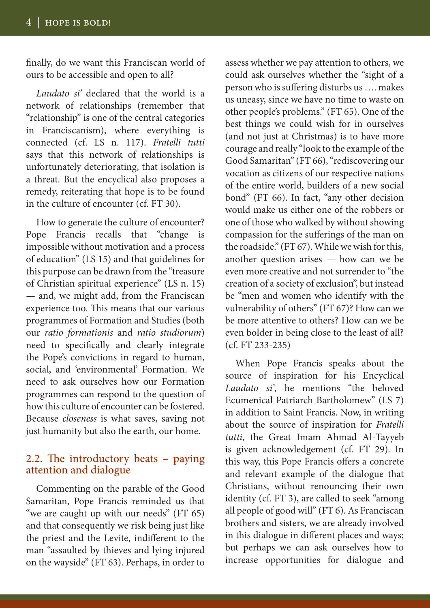finally, do we want this Franciscan world of ours to be accessible and open to all?

*Laudato si'* declared that the world is a network of relationships (remember that "relationship" is one of the central categories in Franciscanism), where everything is connected (cf. LS n. 117). *Fratelli tutti* says that this network of relationships is unfortunately deteriorating, that isolation is a threat. But the encyclical also proposes a remedy, reiterating that hope is to be found in the culture of encounter (cf. FT 30).

How to generate the culture of encounter? Pope Francis recalls that "change is impossible without motivation and a process of education" (LS 15) and that guidelines for this purpose can be drawn from the "treasure of Christian spiritual experience" (LS n. 15) — and, we might add, from the Franciscan experience too. This means that our various programmes of Formation and Studies (both our *ratio formationis* and *ratio studiorum*) need to specifically and clearly integrate the Pope's convictions in regard to human, social, and 'environmental' Formation. We need to ask ourselves how our Formation programmes can respond to the question of how this culture of encounter can be fostered. Because *closeness* is what saves, saving not just humanity but also the earth, our home.

#### 2.2. The introductory beats – paying attention and dialogue

Commenting on the parable of the Good Samaritan, Pope Francis reminded us that "we are caught up with our needs" (FT 65) and that consequently we risk being just like the priest and the Levite, indifferent to the man "assaulted by thieves and lying injured on the wayside" (FT 63). Perhaps, in order to

assess whether we pay attention to others, we could ask ourselves whether the "sight of a person who is suffering disturbs us …. makes us uneasy, since we have no time to waste on other people's problems." (FT 65). One of the best things we could wish for in ourselves (and not just at Christmas) is to have more courage and really "look to the example of the Good Samaritan" (FT 66), "rediscovering our vocation as citizens of our respective nations of the entire world, builders of a new social bond" (FT 66). In fact, "any other decision would make us either one of the robbers or one of those who walked by without showing compassion for the sufferings of the man on the roadside." (FT 67). While we wish for this, another question arises — how can we be even more creative and not surrender to "the creation of a society of exclusion", but instead be "men and women who identify with the vulnerability of others" (FT 67)? How can we be more attentive to others? How can we be even bolder in being close to the least of all? (cf. FT 233-235)

When Pope Francis speaks about the source of inspiration for his Encyclical *Laudato si'*, he mentions "the beloved Ecumenical Patriarch Bartholomew" (LS 7) in addition to Saint Francis. Now, in writing about the source of inspiration for *Fratelli tutti*, the Great Imam Ahmad Al-Tayyeb is given acknowledgement (cf. FT 29). In this way, this Pope Francis offers a concrete and relevant example of the dialogue that Christians, without renouncing their own identity (cf. FT 3), are called to seek "among all people of good will" (FT 6). As Franciscan brothers and sisters, we are already involved in this dialogue in different places and ways; but perhaps we can ask ourselves how to increase opportunities for dialogue and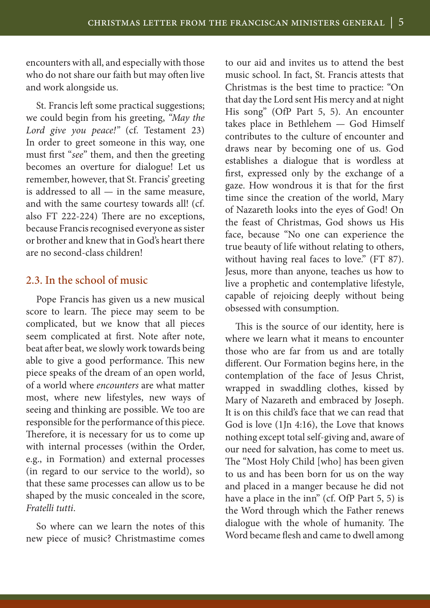encounters with all, and especially with those who do not share our faith but may often live and work alongside us.

St. Francis left some practical suggestions; we could begin from his greeting, *"May the Lord give you peace!"* (cf. Testament 23) In order to greet someone in this way, one must first "*see*" them, and then the greeting becomes an overture for dialogue! Let us remember, however, that St. Francis' greeting is addressed to all  $-$  in the same measure, and with the same courtesy towards all! (cf. also FT 222-224) There are no exceptions, because Francis recognised everyone as sister or brother and knew that in God's heart there are no second-class children!

#### 2.3. In the school of music

Pope Francis has given us a new musical score to learn. The piece may seem to be complicated, but we know that all pieces seem complicated at first. Note after note, beat after beat, we slowly work towards being able to give a good performance. This new piece speaks of the dream of an open world, of a world where *encounters* are what matter most, where new lifestyles, new ways of seeing and thinking are possible. We too are responsible for the performance of this piece. Therefore, it is necessary for us to come up with internal processes (within the Order, e.g., in Formation) and external processes (in regard to our service to the world), so that these same processes can allow us to be shaped by the music concealed in the score, *Fratelli tutti*.

So where can we learn the notes of this new piece of music? Christmastime comes to our aid and invites us to attend the best music school. In fact, St. Francis attests that Christmas is the best time to practice: "On that day the Lord sent His mercy and at night His song" (OfP Part 5, 5). An encounter takes place in Bethlehem — God Himself contributes to the culture of encounter and draws near by becoming one of us. God establishes a dialogue that is wordless at first, expressed only by the exchange of a gaze. How wondrous it is that for the first time since the creation of the world, Mary of Nazareth looks into the eyes of God! On the feast of Christmas, God shows us His face, because "No one can experience the true beauty of life without relating to others, without having real faces to love." (FT 87). Jesus, more than anyone, teaches us how to live a prophetic and contemplative lifestyle, capable of rejoicing deeply without being obsessed with consumption.

This is the source of our identity, here is where we learn what it means to encounter those who are far from us and are totally different. Our Formation begins here, in the contemplation of the face of Jesus Christ, wrapped in swaddling clothes, kissed by Mary of Nazareth and embraced by Joseph. It is on this child's face that we can read that God is love (1Jn 4:16), the Love that knows nothing except total self-giving and, aware of our need for salvation, has come to meet us. The "Most Holy Child [who] has been given to us and has been born for us on the way and placed in a manger because he did not have a place in the inn" (cf. OfP Part 5, 5) is the Word through which the Father renews dialogue with the whole of humanity. The Word became flesh and came to dwell among